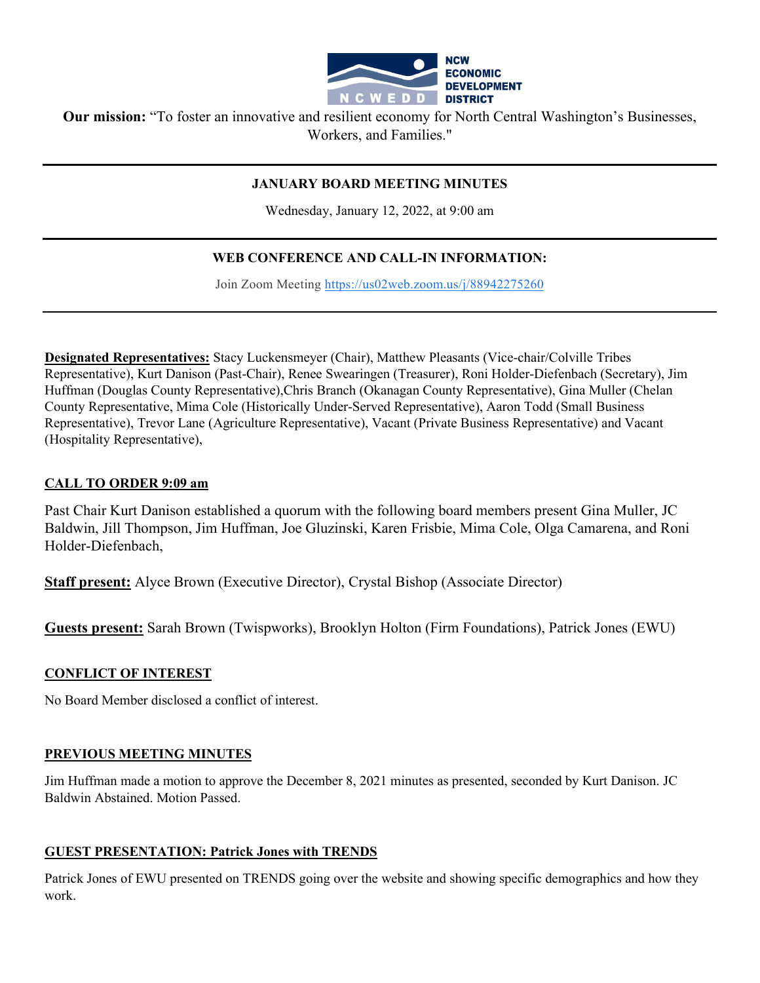

**Our mission:** "To foster an innovative and resilient economy for North Central Washington's Businesses, Workers, and Families."

#### **JANUARY BOARD MEETING MINUTES**

Wednesday, January 12, 2022, at 9:00 am

### **WEB CONFERENCE AND CALL-IN INFORMATION:**

Join Zoom Meeting [https://us02web.zoom.us/j/88942275260](https://www.google.com/url?q=https://us02web.zoom.us/j/88942275260&sa=D&source=calendar&ust=1597623644231000&usg=AOvVaw0razd11iR42A_UfLivuZTv)

**Designated Representatives:** Stacy Luckensmeyer (Chair), Matthew Pleasants (Vice-chair/Colville Tribes Representative), Kurt Danison (Past-Chair), Renee Swearingen (Treasurer), Roni Holder-Diefenbach (Secretary), Jim Huffman (Douglas County Representative),Chris Branch (Okanagan County Representative), Gina Muller (Chelan County Representative, Mima Cole (Historically Under-Served Representative), Aaron Todd (Small Business Representative), Trevor Lane (Agriculture Representative), Vacant (Private Business Representative) and Vacant (Hospitality Representative),

#### **CALL TO ORDER 9:09 am**

Past Chair Kurt Danison established a quorum with the following board members present Gina Muller, JC Baldwin, Jill Thompson, Jim Huffman, Joe Gluzinski, Karen Frisbie, Mima Cole, Olga Camarena, and Roni Holder-Diefenbach,

**Staff present:** Alyce Brown (Executive Director), Crystal Bishop (Associate Director)

**Guests present:** Sarah Brown (Twispworks), Brooklyn Holton (Firm Foundations), Patrick Jones (EWU)

#### **CONFLICT OF INTEREST**

No Board Member disclosed a conflict of interest.

#### **PREVIOUS MEETING MINUTES**

Jim Huffman made a motion to approve the December 8, 2021 minutes as presented, seconded by Kurt Danison. JC Baldwin Abstained. Motion Passed.

#### **GUEST PRESENTATION: Patrick Jones with TRENDS**

Patrick Jones of EWU presented on TRENDS going over the website and showing specific demographics and how they work.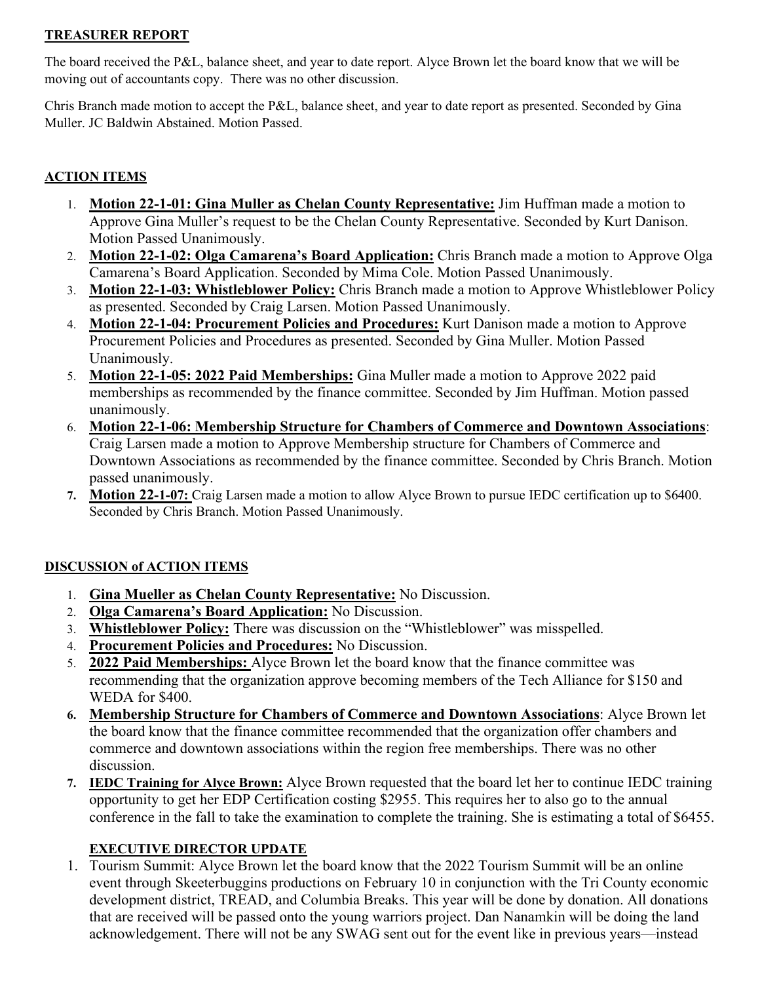#### **TREASURER REPORT**

The board received the P&L, balance sheet, and year to date report. Alyce Brown let the board know that we will be moving out of accountants copy. There was no other discussion.

Chris Branch made motion to accept the P&L, balance sheet, and year to date report as presented. Seconded by Gina Muller. JC Baldwin Abstained. Motion Passed.

## **ACTION ITEMS**

- 1. **Motion 22-1-01: Gina Muller as Chelan County Representative:** Jim Huffman made a motion to Approve Gina Muller's request to be the Chelan County Representative. Seconded by Kurt Danison. Motion Passed Unanimously.
- 2. **Motion 22-1-02: Olga Camarena's Board Application:** Chris Branch made a motion to Approve Olga Camarena's Board Application. Seconded by Mima Cole. Motion Passed Unanimously.
- 3. **Motion 22-1-03: Whistleblower Policy:** Chris Branch made a motion to Approve Whistleblower Policy as presented. Seconded by Craig Larsen. Motion Passed Unanimously.
- 4. **Motion 22-1-04: Procurement Policies and Procedures:** Kurt Danison made a motion to Approve Procurement Policies and Procedures as presented. Seconded by Gina Muller. Motion Passed Unanimously.
- 5. **Motion 22-1-05: 2022 Paid Memberships:** Gina Muller made a motion to Approve 2022 paid memberships as recommended by the finance committee. Seconded by Jim Huffman. Motion passed unanimously.
- 6. **Motion 22-1-06: Membership Structure for Chambers of Commerce and Downtown Associations**: Craig Larsen made a motion to Approve Membership structure for Chambers of Commerce and Downtown Associations as recommended by the finance committee. Seconded by Chris Branch. Motion passed unanimously.
- **7. Motion 22-1-07:** Craig Larsen made a motion to allow Alyce Brown to pursue IEDC certification up to \$6400. Seconded by Chris Branch. Motion Passed Unanimously.

## **DISCUSSION of ACTION ITEMS**

- 1. **Gina Mueller as Chelan County Representative:** No Discussion.
- 2. **Olga Camarena's Board Application:** No Discussion.
- 3. **Whistleblower Policy:** There was discussion on the "Whistleblower" was misspelled.
- 4. **Procurement Policies and Procedures:** No Discussion.
- 5. **2022 Paid Memberships:** Alyce Brown let the board know that the finance committee was recommending that the organization approve becoming members of the Tech Alliance for \$150 and WEDA for \$400.
- **6. Membership Structure for Chambers of Commerce and Downtown Associations**: Alyce Brown let the board know that the finance committee recommended that the organization offer chambers and commerce and downtown associations within the region free memberships. There was no other discussion.
- **7. IEDC Training for Alyce Brown:** Alyce Brown requested that the board let her to continue IEDC training opportunity to get her EDP Certification costing \$2955. This requires her to also go to the annual conference in the fall to take the examination to complete the training. She is estimating a total of \$6455.

## **EXECUTIVE DIRECTOR UPDATE**

1. Tourism Summit: Alyce Brown let the board know that the 2022 Tourism Summit will be an online event through Skeeterbuggins productions on February 10 in conjunction with the Tri County economic development district, TREAD, and Columbia Breaks. This year will be done by donation. All donations that are received will be passed onto the young warriors project. Dan Nanamkin will be doing the land acknowledgement. There will not be any SWAG sent out for the event like in previous years—instead